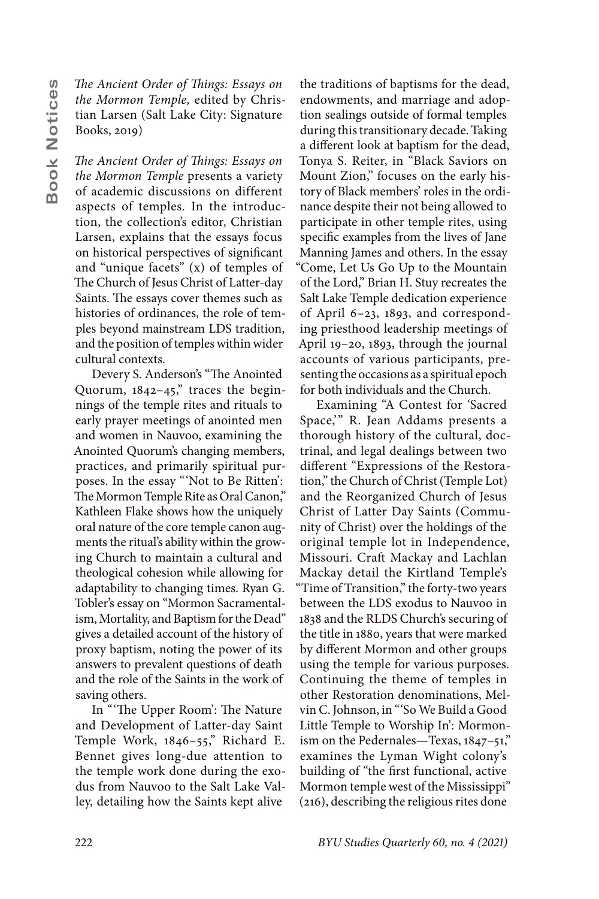*The Ancient Order of Things: Essays on the Mormon Temple,* edited by Christian Larsen (Salt Lake City: Signature Books, 2019)

*The Ancient Order of Things: Essays on the Mormon Temple* presents a variety of academic discussions on different aspects of temples. In the introduction, the collection's editor, Christian Larsen, explains that the essays focus on historical perspectives of significant and "unique facets" (x) of temples of The Church of Jesus Christ of Latter-day Saints. The essays cover themes such as histories of ordinances, the role of temples beyond mainstream LDS tradition, and the position of temples within wider cultural contexts.

Devery S. Anderson's "The Anointed Quorum, 1842–45," traces the beginnings of the temple rites and rituals to early prayer meetings of anointed men and women in Nauvoo, examining the Anointed Quorum's changing members, practices, and primarily spiritual purposes. In the essay "'Not to Be Ritten': The Mormon Temple Rite as Oral Canon," Kathleen Flake shows how the uniquely oral nature of the core temple canon augments the ritual's ability within the growing Church to maintain a cultural and theological cohesion while allowing for adaptability to changing times. Ryan G. Tobler's essay on "Mormon Sacramentalism, Mortality, and Baptism for the Dead" gives a detailed account of the history of proxy baptism, noting the power of its answers to prevalent questions of death and the role of the Saints in the work of saving others.

In "'The Upper Room': The Nature and Development of Latter-day Saint Temple Work, 1846–55," Richard E. Bennet gives long-due attention to the temple work done during the exodus from Nauvoo to the Salt Lake Valley, detailing how the Saints kept alive

the traditions of baptisms for the dead, endowments, and marriage and adoption sealings outside of formal temples during this transitionary decade. Taking a different look at baptism for the dead, Tonya S. Reiter, in "Black Saviors on Mount Zion," focuses on the early history of Black members' roles in the ordinance despite their not being allowed to participate in other temple rites, using specific examples from the lives of Jane Manning James and others. In the essay "Come, Let Us Go Up to the Mountain of the Lord," Brian H. Stuy recreates the Salt Lake Temple dedication experience of April 6–23, 1893, and corresponding priesthood leadership meetings of April 19–20, 1893, through the journal accounts of various participants, presenting the occasions as a spiritual epoch for both individuals and the Church.

Examining "A Contest for 'Sacred Space,'" R. Jean Addams presents a thorough history of the cultural, doctrinal, and legal dealings between two different "Expressions of the Restoration," the Church of Christ (Temple Lot) and the Reorganized Church of Jesus Christ of Latter Day Saints (Community of Christ) over the holdings of the original temple lot in Independence, Missouri. Craft Mackay and Lachlan Mackay detail the Kirtland Temple's "Time of Transition," the forty-two years between the LDS exodus to Nauvoo in 1838 and the RLDS Church's securing of the title in 1880, years that were marked by different Mormon and other groups using the temple for various purposes. Continuing the theme of temples in other Restoration denominations, Melvin C. Johnson, in "'So We Build a Good Little Temple to Worship In': Mormonism on the Pedernales—Texas, 1847–51," examines the Lyman Wight colony's building of "the first functional, active Mormon temple west of the Mississippi" (216), describing the religious rites done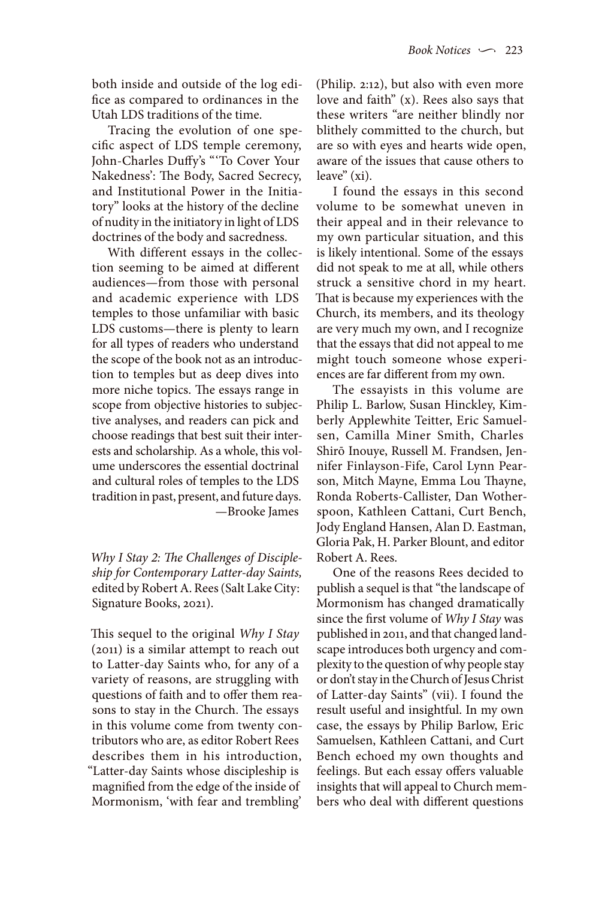both inside and outside of the log edifice as compared to ordinances in the Utah LDS traditions of the time.

Tracing the evolution of one specific aspect of LDS temple ceremony, John-Charles Duffy's "'To Cover Your Nakedness': The Body, Sacred Secrecy, and Institutional Power in the Initiatory" looks at the history of the decline of nudity in the initiatory in light of LDS doctrines of the body and sacredness.

With different essays in the collection seeming to be aimed at different audiences—from those with personal and academic experience with LDS temples to those unfamiliar with basic LDS customs—there is plenty to learn for all types of readers who understand the scope of the book not as an introduction to temples but as deep dives into more niche topics. The essays range in scope from objective histories to subjective analyses, and readers can pick and choose readings that best suit their interests and scholarship. As a whole, this volume underscores the essential doctrinal and cultural roles of temples to the LDS tradition in past, present, and future days. —Brooke James

*Why I Stay 2: The Challenges of Discipleship for Contemporary Latter-day Saints,* edited by Robert A. Rees (Salt Lake City: Signature Books, 2021).

This sequel to the original *Why I Stay* (2011) is a similar attempt to reach out to Latter-day Saints who, for any of a variety of reasons, are struggling with questions of faith and to offer them reasons to stay in the Church. The essays in this volume come from twenty contributors who are, as editor Robert Rees describes them in his introduction, "Latter-day Saints whose discipleship is magnified from the edge of the inside of Mormonism, 'with fear and trembling'

(Philip. 2:12), but also with even more love and faith" (x). Rees also says that these writers "are neither blindly nor blithely committed to the church, but are so with eyes and hearts wide open, aware of the issues that cause others to leave" (xi).

I found the essays in this second volume to be somewhat uneven in their appeal and in their relevance to my own particular situation, and this is likely intentional. Some of the essays did not speak to me at all, while others struck a sensitive chord in my heart. That is because my experiences with the Church, its members, and its theology are very much my own, and I recognize that the essays that did not appeal to me might touch someone whose experiences are far different from my own.

The essayists in this volume are Philip L. Barlow, Susan Hinckley, Kimberly Applewhite Teitter, Eric Samuelsen, Camilla Miner Smith, Charles Shirō Inouye, Russell M. Frandsen, Jennifer Finlayson-Fife, Carol Lynn Pearson, Mitch Mayne, Emma Lou Thayne, Ronda Roberts-Callister, Dan Wotherspoon, Kathleen Cattani, Curt Bench, Jody England Hansen, Alan D. Eastman, Gloria Pak, H. Parker Blount, and editor Robert A. Rees.

One of the reasons Rees decided to publish a sequel is that "the landscape of Mormonism has changed dramatically since the first volume of *Why I Stay* was published in 2011, and that changed landscape introduces both urgency and complexity to the question of why people stay or don't stay in the Church of Jesus Christ of Latter-day Saints" (vii). I found the result useful and insightful. In my own case, the essays by Philip Barlow, Eric Samuelsen, Kathleen Cattani, and Curt Bench echoed my own thoughts and feelings. But each essay offers valuable insights that will appeal to Church members who deal with different questions